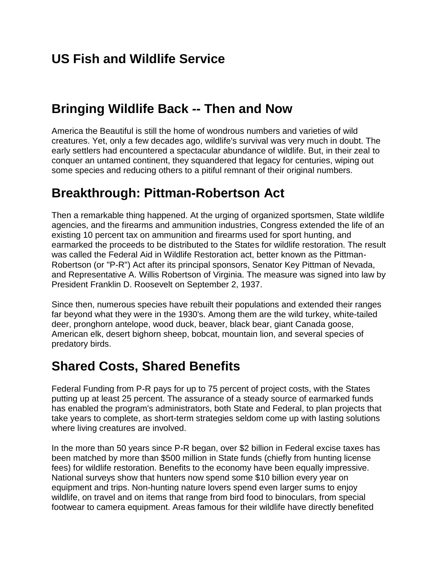# **US Fish and Wildlife Service**

## **Bringing Wildlife Back -- Then and Now**

America the Beautiful is still the home of wondrous numbers and varieties of wild creatures. Yet, only a few decades ago, wildlife's survival was very much in doubt. The early settlers had encountered a spectacular abundance of wildlife. But, in their zeal to conquer an untamed continent, they squandered that legacy for centuries, wiping out some species and reducing others to a pitiful remnant of their original numbers.

### **Breakthrough: Pittman-Robertson Act**

Then a remarkable thing happened. At the urging of organized sportsmen, State wildlife agencies, and the firearms and ammunition industries, Congress extended the life of an existing 10 percent tax on ammunition and firearms used for sport hunting, and earmarked the proceeds to be distributed to the States for wildlife restoration. The result was called the Federal Aid in Wildlife Restoration act, better known as the Pittman-Robertson (or "P-R") Act after its principal sponsors, Senator Key Pittman of Nevada, and Representative A. Willis Robertson of Virginia. The measure was signed into law by President Franklin D. Roosevelt on September 2, 1937.

Since then, numerous species have rebuilt their populations and extended their ranges far beyond what they were in the 1930's. Among them are the wild turkey, white-tailed deer, pronghorn antelope, wood duck, beaver, black bear, giant Canada goose, American elk, desert bighorn sheep, bobcat, mountain lion, and several species of predatory birds.

# **Shared Costs, Shared Benefits**

Federal Funding from P-R pays for up to 75 percent of project costs, with the States putting up at least 25 percent. The assurance of a steady source of earmarked funds has enabled the program's administrators, both State and Federal, to plan projects that take years to complete, as short-term strategies seldom come up with lasting solutions where living creatures are involved.

In the more than 50 years since P-R began, over \$2 billion in Federal excise taxes has been matched by more than \$500 million in State funds (chiefly from hunting license fees) for wildlife restoration. Benefits to the economy have been equally impressive. National surveys show that hunters now spend some \$10 billion every year on equipment and trips. Non-hunting nature lovers spend even larger sums to enjoy wildlife, on travel and on items that range from bird food to binoculars, from special footwear to camera equipment. Areas famous for their wildlife have directly benefited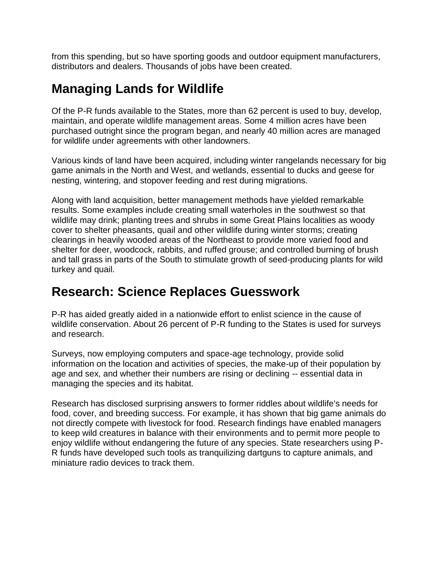from this spending, but so have sporting goods and outdoor equipment manufacturers, distributors and dealers. Thousands of jobs have been created.

## **Managing Lands for Wildlife**

Of the P-R funds available to the States, more than 62 percent is used to buy, develop, maintain, and operate wildlife management areas. Some 4 million acres have been purchased outright since the program began, and nearly 40 million acres are managed for wildlife under agreements with other landowners.

Various kinds of land have been acquired, including winter rangelands necessary for big game animals in the North and West, and wetlands, essential to ducks and geese for nesting, wintering, and stopover feeding and rest during migrations.

Along with land acquisition, better management methods have yielded remarkable results. Some examples include creating small waterholes in the southwest so that wildlife may drink; planting trees and shrubs in some Great Plains localities as woody cover to shelter pheasants, quail and other wildlife during winter storms; creating clearings in heavily wooded areas of the Northeast to provide more varied food and shelter for deer, woodcock, rabbits, and ruffed grouse; and controlled burning of brush and tall grass in parts of the South to stimulate growth of seed-producing plants for wild turkey and quail.

### **Research: Science Replaces Guesswork**

P-R has aided greatly aided in a nationwide effort to enlist science in the cause of wildlife conservation. About 26 percent of P-R funding to the States is used for surveys and research.

Surveys, now employing computers and space-age technology, provide solid information on the location and activities of species, the make-up of their population by age and sex, and whether their numbers are rising or declining -- essential data in managing the species and its habitat.

Research has disclosed surprising answers to former riddles about wildlife's needs for food, cover, and breeding success. For example, it has shown that big game animals do not directly compete with livestock for food. Research findings have enabled managers to keep wild creatures in balance with their environments and to permit more people to enjoy wildlife without endangering the future of any species. State researchers using P-R funds have developed such tools as tranquilizing dartguns to capture animals, and miniature radio devices to track them.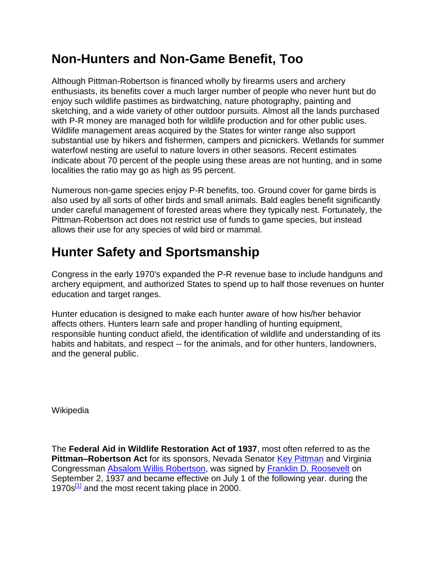## **Non-Hunters and Non-Game Benefit, Too**

Although Pittman-Robertson is financed wholly by firearms users and archery enthusiasts, its benefits cover a much larger number of people who never hunt but do enjoy such wildlife pastimes as birdwatching, nature photography, painting and sketching, and a wide variety of other outdoor pursuits. Almost all the lands purchased with P-R money are managed both for wildlife production and for other public uses. Wildlife management areas acquired by the States for winter range also support substantial use by hikers and fishermen, campers and picnickers. Wetlands for summer waterfowl nesting are useful to nature lovers in other seasons. Recent estimates indicate about 70 percent of the people using these areas are not hunting, and in some localities the ratio may go as high as 95 percent.

Numerous non-game species enjoy P-R benefits, too. Ground cover for game birds is also used by all sorts of other birds and small animals. Bald eagles benefit significantly under careful management of forested areas where they typically nest. Fortunately, the Pittman-Robertson act does not restrict use of funds to game species, but instead allows their use for any species of wild bird or mammal.

# **Hunter Safety and Sportsmanship**

Congress in the early 1970's expanded the P-R revenue base to include handguns and archery equipment, and authorized States to spend up to half those revenues on hunter education and target ranges.

Hunter education is designed to make each hunter aware of how his/her behavior affects others. Hunters learn safe and proper handling of hunting equipment, responsible hunting conduct afield, the identification of wildlife and understanding of its habits and habitats, and respect -- for the animals, and for other hunters, landowners, and the general public.

**Wikipedia** 

The **Federal Aid in Wildlife Restoration Act of 1937**, most often referred to as the **Pittman–Robertson Act** for its sponsors, Nevada Senator Key Pittman and Virginia Congressman Absalom Willis Robertson, was signed by Franklin D. Roosevelt on September 2, 1937 and became effective on July 1 of the following year. during the 1970s $\frac{11}{12}$  and the most recent taking place in 2000.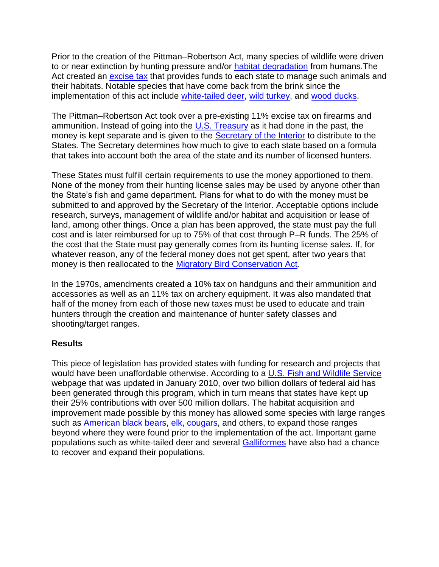Prior to the creation of the Pittman–Robertson Act, many species of wildlife were driven to or near extinction by hunting pressure and/or habitat degradation from humans. The Act created an excise tax that provides funds to each state to manage such animals and their habitats. Notable species that have come back from the brink since the implementation of this act include white-tailed deer, wild turkey, and wood ducks.

The Pittman–Robertson Act took over a pre-existing 11% excise tax on firearms and ammunition. Instead of going into the U.S. Treasury as it had done in the past, the money is kept separate and is given to the **Secretary of the Interior** to distribute to the States. The Secretary determines how much to give to each state based on a formula that takes into account both the area of the state and its number of licensed hunters.

These States must fulfill certain requirements to use the money apportioned to them. None of the money from their hunting license sales may be used by anyone other than the State's fish and game department. Plans for what to do with the money must be submitted to and approved by the Secretary of the Interior. Acceptable options include research, surveys, management of wildlife and/or habitat and acquisition or lease of land, among other things. Once a plan has been approved, the state must pay the full cost and is later reimbursed for up to 75% of that cost through P–R funds. The 25% of the cost that the State must pay generally comes from its hunting license sales. If, for whatever reason, any of the federal money does not get spent, after two years that money is then reallocated to the Migratory Bird Conservation Act.

In the 1970s, amendments created a 10% tax on handguns and their ammunition and accessories as well as an 11% tax on archery equipment. It was also mandated that half of the money from each of those new taxes must be used to educate and train hunters through the creation and maintenance of hunter safety classes and shooting/target ranges.

### **Results**

This piece of legislation has provided states with funding for research and projects that would have been unaffordable otherwise. According to a U.S. Fish and Wildlife Service webpage that was updated in January 2010, over two billion dollars of federal aid has been generated through this program, which in turn means that states have kept up their 25% contributions with over 500 million dollars. The habitat acquisition and improvement made possible by this money has allowed some species with large ranges such as American black bears, elk, [cougars,](http://en.wikipedia.org/wiki/Cougars) and others, to expand those ranges beyond where they were found prior to the implementation of the act. Important game populations such as white-tailed deer and several Galliformes have also had a chance to recover and expand their populations.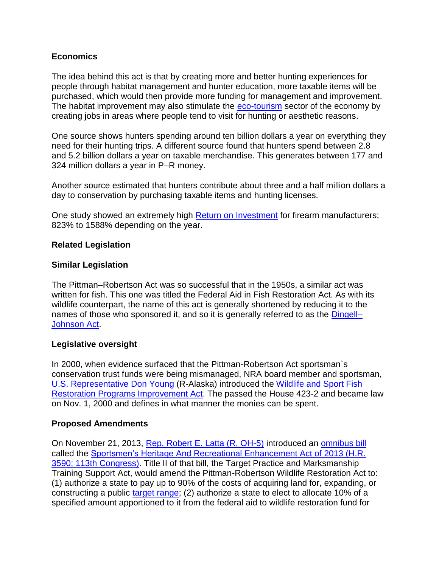### **Economics**

The idea behind this act is that by creating more and better hunting experiences for people through habitat management and hunter education, more taxable items will be purchased, which would then provide more funding for management and improvement. The habitat improvement may also stimulate the **eco-tourism** sector of the economy by creating jobs in areas where people tend to visit for hunting or aesthetic reasons.

One source shows hunters spending around ten billion dollars a year on everything they need for their hunting trips. A different source found that hunters spend between 2.8 and 5.2 billion dollars a year on taxable merchandise. This generates between 177 and 324 million dollars a year in P–R money.

Another source estimated that hunters contribute about three and a half million dollars a day to conservation by purchasing taxable items and hunting licenses.

One study showed an extremely high Return on Investment for firearm manufacturers; 823% to 1588% depending on the year.

### **Related Legislation**

### **Similar Legislation**

The Pittman–Robertson Act was so successful that in the 1950s, a similar act was written for fish. This one was titled the Federal Aid in Fish Restoration Act. As with its wildlife counterpart, the name of this act is generally shortened by reducing it to the names of those who sponsored it, and so it is generally referred to as the Dingell-Johnson Act.

### **Legislative oversight**

In 2000, when evidence surfaced that the Pittman-Robertson Act sportsman`s conservation trust funds were being mismanaged, NRA board member and sportsman, U.S. Representative Don Young (R-Alaska) introduced the Wildlife and Sport Fish Restoration Programs Improvement Act. The passed the House 423-2 and became law on Nov. 1, 2000 and defines in what manner the monies can be spent.

### **Proposed Amendments**

On November 21, 2013, Rep. Robert E. Latta (R, OH-5) introduced an omnibus bill called the Sportsmen's Heritage And Recreational Enhancement Act of 2013 (H.R. 3590; 113th Congress). Title II of that bill, the Target Practice and Marksmanship Training Support Act, would amend the Pittman-Robertson Wildlife Restoration Act to: (1) authorize a state to pay up to 90% of the costs of acquiring land for, expanding, or constructing a public [target range;](http://en.wikipedia.org/wiki/Shooting_range) (2) authorize a state to elect to allocate 10% of a specified amount apportioned to it from the federal aid to wildlife restoration fund for